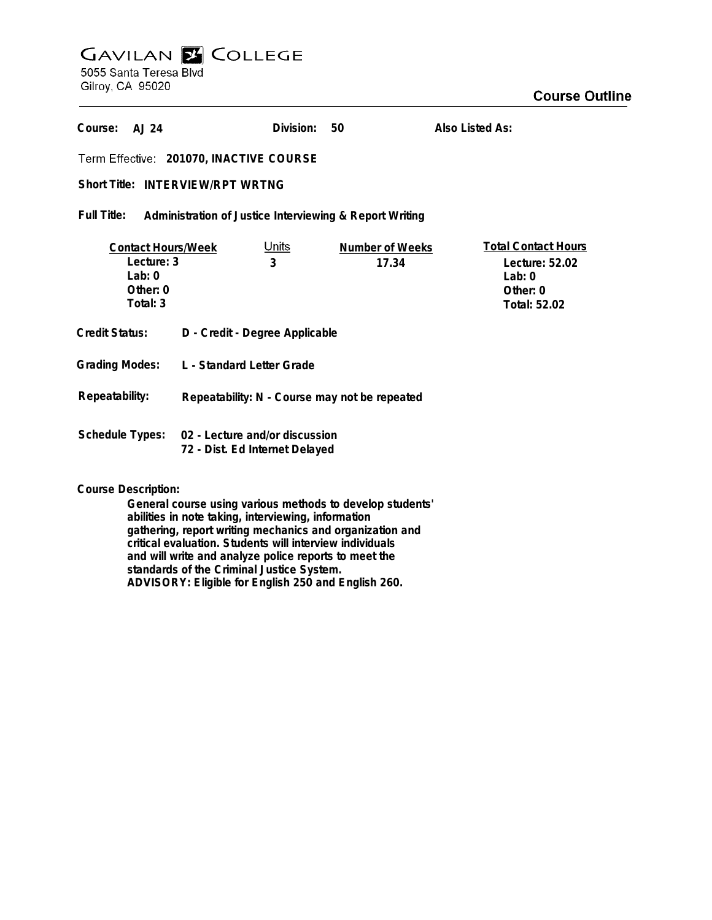## **GAVILAN Z COLLEGE** 5055 Santa Teresa Blvd

Gilroy, CA 95020

| Course:<br>A.J 24                                                              |                                                                                  | Division: | 50                              | Also Listed As: |                                                                                        |
|--------------------------------------------------------------------------------|----------------------------------------------------------------------------------|-----------|---------------------------------|-----------------|----------------------------------------------------------------------------------------|
| Term Effective: 201070, INACTIVE COURSE                                        |                                                                                  |           |                                 |                 |                                                                                        |
| <b>Short Title: INTERVIEW/RPT WRTNG</b>                                        |                                                                                  |           |                                 |                 |                                                                                        |
| Full Title:<br>Administration of Justice Interviewing & Report Writing         |                                                                                  |           |                                 |                 |                                                                                        |
| <b>Contact Hours/Week</b><br>Lecture: 3<br>$1$ ab: 0<br>Other: $0$<br>Total: 3 | <u>Units</u><br>3                                                                |           | <b>Number of Weeks</b><br>17.34 |                 | <b>Total Contact Hours</b><br>Lecture: 52.02<br>Lab: $0$<br>Other: $0$<br>Total: 52.02 |
| Credit Status:                                                                 | D - Credit - Degree Applicable                                                   |           |                                 |                 |                                                                                        |
| <b>Grading Modes:</b>                                                          | L - Standard Letter Grade                                                        |           |                                 |                 |                                                                                        |
| Repeatability:                                                                 | Repeatability: N - Course may not be repeated                                    |           |                                 |                 |                                                                                        |
|                                                                                | Schedule Types: 02 - Lecture and/or discussion<br>72 - Dist. Ed Internet Delayed |           |                                 |                 |                                                                                        |

## **Course Description:**

**General course using various methods to develop students' abilities in note taking, interviewing, information gathering, report writing mechanics and organization and critical evaluation. Students will interview individuals and will write and analyze police reports to meet the standards of the Criminal Justice System. ADVISORY: Eligible for English 250 and English 260.**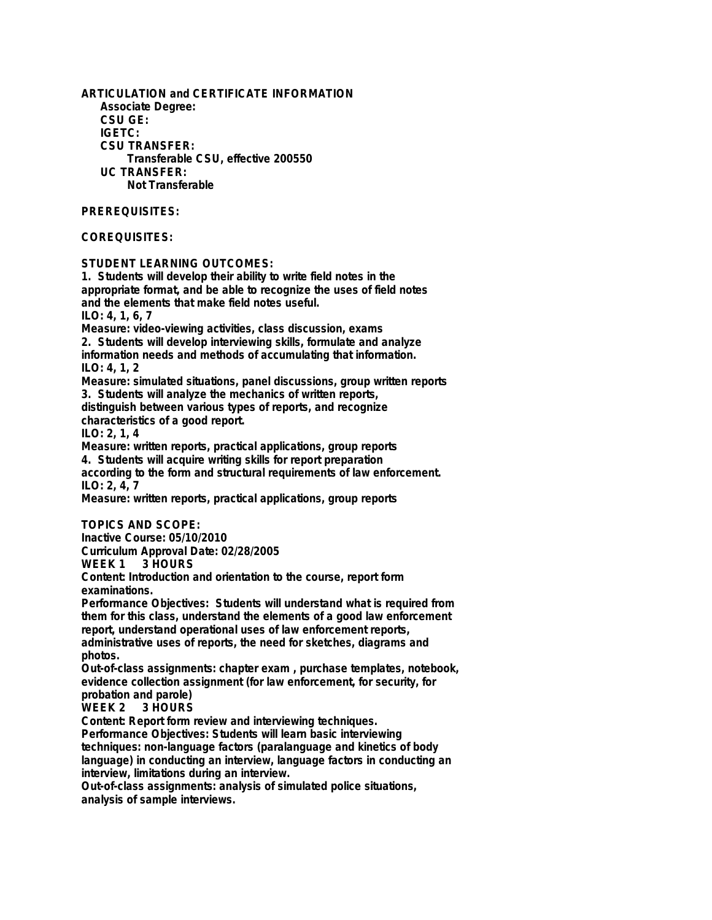**ARTICULATION and CERTIFICATE INFORMATION Associate Degree: CSU GE: IGETC: CSU TRANSFER: Transferable CSU, effective 200550 UC TRANSFER: Not Transferable PREREQUISITES: COREQUISITES: STUDENT LEARNING OUTCOMES: 1. Students will develop their ability to write field notes in the appropriate format, and be able to recognize the uses of field notes and the elements that make field notes useful. ILO: 4, 1, 6, 7 Measure: video-viewing activities, class discussion, exams 2. Students will develop interviewing skills, formulate and analyze information needs and methods of accumulating that information. ILO: 4, 1, 2 Measure: simulated situations, panel discussions, group written reports 3. Students will analyze the mechanics of written reports, distinguish between various types of reports, and recognize characteristics of a good report. ILO: 2, 1, 4 Measure: written reports, practical applications, group reports**

**4. Students will acquire writing skills for report preparation according to the form and structural requirements of law enforcement. ILO: 2, 4, 7**

**Measure: written reports, practical applications, group reports**

**TOPICS AND SCOPE:**

**Inactive Course: 05/10/2010 Curriculum Approval Date: 02/28/2005**

**WEEK 1 3 HOURS**

**Content: Introduction and orientation to the course, report form examinations.**

**Performance Objectives: Students will understand what is required from them for this class, understand the elements of a good law enforcement report, understand operational uses of law enforcement reports, administrative uses of reports, the need for sketches, diagrams and photos.**

**Out-of-class assignments: chapter exam , purchase templates, notebook, evidence collection assignment (for law enforcement, for security, for**

**probation and parole)** 3 HOURS

**Content: Report form review and interviewing techniques.**

**Performance Objectives: Students will learn basic interviewing techniques: non-language factors (paralanguage and kinetics of body language) in conducting an interview, language factors in conducting an interview, limitations during an interview.**

**Out-of-class assignments: analysis of simulated police situations, analysis of sample interviews.**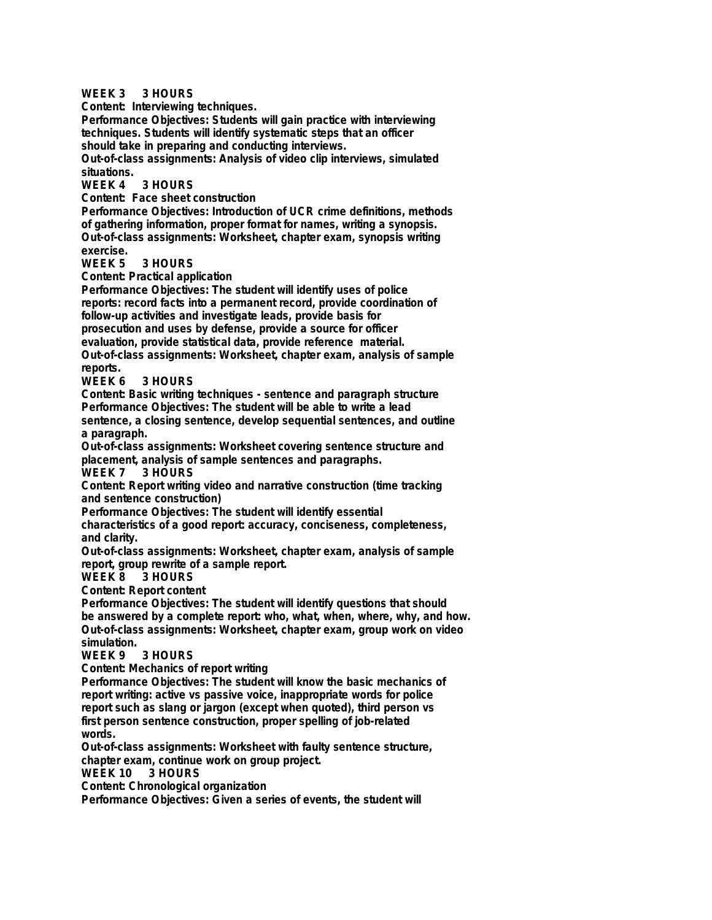**WEEK 3 3 HOURS Content: Interviewing techniques. Performance Objectives: Students will gain practice with interviewing techniques. Students will identify systematic steps that an officer should take in preparing and conducting interviews. Out-of-class assignments: Analysis of video clip interviews, simulated situations.** 3 HOURS **Content: Face sheet construction Performance Objectives: Introduction of UCR crime definitions, methods of gathering information, proper format for names, writing a synopsis. Out-of-class assignments: Worksheet, chapter exam, synopsis writing exercise. 3 HOURS Content: Practical application Performance Objectives: The student will identify uses of police reports: record facts into a permanent record, provide coordination of follow-up activities and investigate leads, provide basis for prosecution and uses by defense, provide a source for officer evaluation, provide statistical data, provide reference material. Out-of-class assignments: Worksheet, chapter exam, analysis of sample reports.** 3 HOURS **Content: Basic writing techniques - sentence and paragraph structure Performance Objectives: The student will be able to write a lead sentence, a closing sentence, develop sequential sentences, and outline a paragraph. Out-of-class assignments: Worksheet covering sentence structure and placement, analysis of sample sentences and paragraphs.** 3 HOURS **Content: Report writing video and narrative construction (time tracking and sentence construction) Performance Objectives: The student will identify essential characteristics of a good report: accuracy, conciseness, completeness, and clarity. Out-of-class assignments: Worksheet, chapter exam, analysis of sample report, group rewrite of a sample report.** 3 HOURS **Content: Report content Performance Objectives: The student will identify questions that should be answered by a complete report: who, what, when, where, why, and how. Out-of-class assignments: Worksheet, chapter exam, group work on video simulation. 3 HOURS Content: Mechanics of report writing Performance Objectives: The student will know the basic mechanics of report writing: active vs passive voice, inappropriate words for police report such as slang or jargon (except when quoted), third person vs first person sentence construction, proper spelling of job-related words. Out-of-class assignments: Worksheet with faulty sentence structure, chapter exam, continue work on group project. WEEK 10 3 HOURS Content: Chronological organization Performance Objectives: Given a series of events, the student will**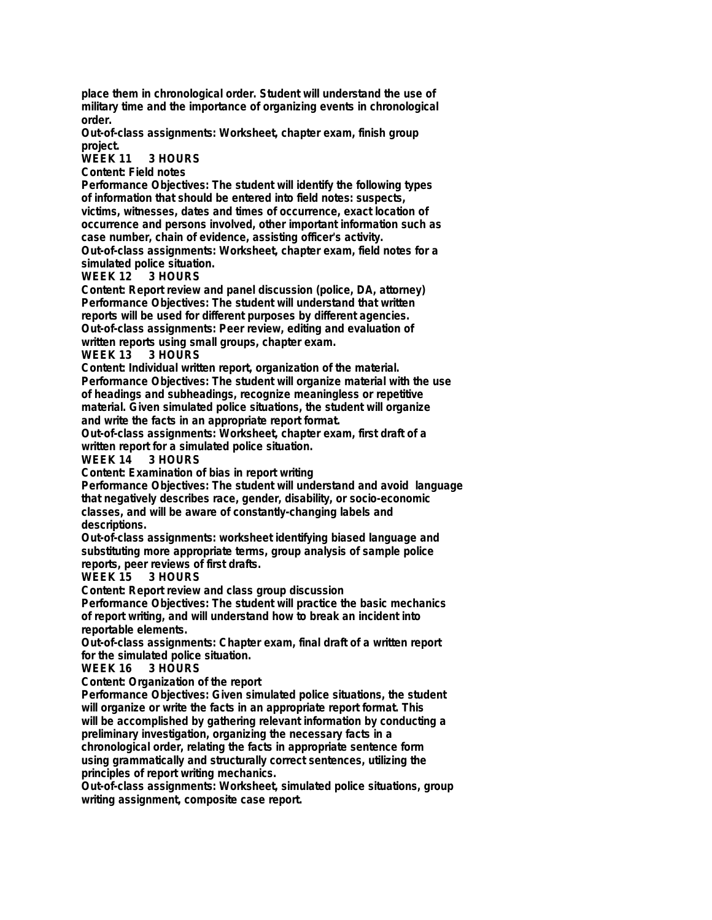**place them in chronological order. Student will understand the use of military time and the importance of organizing events in chronological order.**

**Out-of-class assignments: Worksheet, chapter exam, finish group project.**

**WEEK 11 3 HOURS**

**Content: Field notes**

**Performance Objectives: The student will identify the following types of information that should be entered into field notes: suspects, victims, witnesses, dates and times of occurrence, exact location of occurrence and persons involved, other important information such as case number, chain of evidence, assisting officer's activity. Out-of-class assignments: Worksheet, chapter exam, field notes for a**

**simulated police situation. WEEK 12** 

**Content: Report review and panel discussion (police, DA, attorney) Performance Objectives: The student will understand that written reports will be used for different purposes by different agencies. Out-of-class assignments: Peer review, editing and evaluation of written reports using small groups, chapter exam.**

**WEEK 13 3 HOURS**

**Content: Individual written report, organization of the material. Performance Objectives: The student will organize material with the use of headings and subheadings, recognize meaningless or repetitive material. Given simulated police situations, the student will organize and write the facts in an appropriate report format.**

**Out-of-class assignments: Worksheet, chapter exam, first draft of a written report for a simulated police situation.**

**WEEK 14** 

**Content: Examination of bias in report writing**

**Performance Objectives: The student will understand and avoid language that negatively describes race, gender, disability, or socio-economic classes, and will be aware of constantly-changing labels and descriptions.**

**Out-of-class assignments: worksheet identifying biased language and substituting more appropriate terms, group analysis of sample police reports, peer reviews of first drafts.**

3 HOURS

**Content: Report review and class group discussion**

**Performance Objectives: The student will practice the basic mechanics of report writing, and will understand how to break an incident into reportable elements.**

**Out-of-class assignments: Chapter exam, final draft of a written report for the simulated police situation.**

**WEEK 16 3 HOURS**

**Content: Organization of the report**

**Performance Objectives: Given simulated police situations, the student will organize or write the facts in an appropriate report format. This will be accomplished by gathering relevant information by conducting a preliminary investigation, organizing the necessary facts in a chronological order, relating the facts in appropriate sentence form**

**using grammatically and structurally correct sentences, utilizing the principles of report writing mechanics.**

**Out-of-class assignments: Worksheet, simulated police situations, group writing assignment, composite case report.**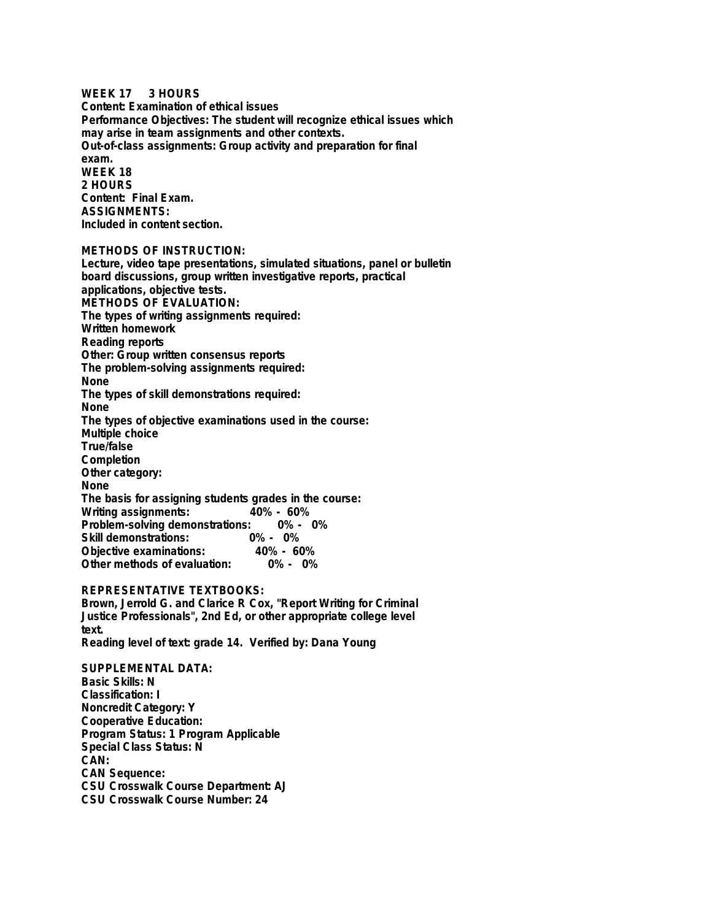**WEEK 17 3 HOURS Content: Examination of ethical issues Performance Objectives: The student will recognize ethical issues which may arise in team assignments and other contexts. Out-of-class assignments: Group activity and preparation for final exam. WEEK 18 2 HOURS Content: Final Exam. ASSIGNMENTS: Included in content section.**

**METHODS OF INSTRUCTION:**

**Lecture, video tape presentations, simulated situations, panel or bulletin board discussions, group written investigative reports, practical applications, objective tests. METHODS OF EVALUATION: The types of writing assignments required: Written homework Reading reports Other: Group written consensus reports The problem-solving assignments required: None The types of skill demonstrations required: None The types of objective examinations used in the course: Multiple choice True/false Completion Other category: None The basis for assigning students grades in the course: Writing assignments: Problem-solving demonstrations: 0% - 0%** Skill demonstrations: 0% - 0%<br>Objective examinations: 40% - 60% **Objective examinations: 40% - 60% Other methods of evaluation:** 

## **REPRESENTATIVE TEXTBOOKS:**

**Brown, Jerrold G. and Clarice R Cox, "Report Writing for Criminal Justice Professionals", 2nd Ed, or other appropriate college level text.**

**Reading level of text: grade 14. Verified by: Dana Young**

**SUPPLEMENTAL DATA: Basic Skills: N Classification: I Noncredit Category: Y Cooperative Education: Program Status: 1 Program Applicable Special Class Status: N CAN: CAN Sequence: CSU Crosswalk Course Department: AJ CSU Crosswalk Course Number: 24**